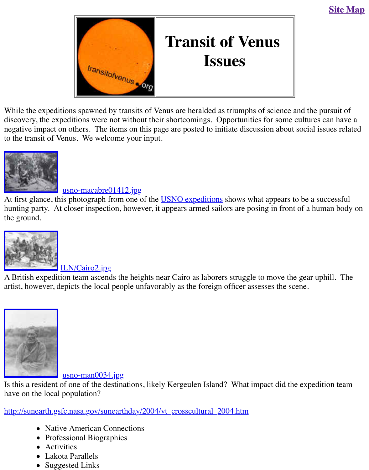

## **Issues**

While the expeditions [spawned by transits of](http://old.transitofvenus.org/index.htm) Venus are heralded as triumphs of science and the pursuit of pursuit of pursuit of pursuit of pursuit of pursuit of pursuit of pursuit of pursuit of pursuit of pursuit of pursui discovery, the expeditions were not without their shortcomings. Opportunities for some culture negative impact on others. The items on this page are posted to initiate discussion about social to the transit of Venus. We welcome your input.



## usno-macabre01412.jpg

At first glance, this photograph from one of the **USNO** expeditions shows what appears to be a hunting party. At closer inspection, however, it appears armed sailors are posing in front of a l [the ground.](http://old.transitofvenus.org/usno-macabre01412.jpg) 



ILN/Cairo2.jpg

A British expedition team ascends the heights near Cairo as laborers struggle to move the gear artist, however, depicts the local people unfavorably as the foreign officer assesses the scene.



usno-man0034.jpg

[Is this a resident](http://old.transitofvenus.org/usno-man0034.jpg) of one of the destinations, likely Kergeulen Island? What impact did the expe have on the local population?

http://sunearth.gsfc.nasa.gov/sunearthday/2004/vt\_crosscultural\_2004.htm

- Native American Connections
- Prof[essional Biographie](http://old.transitofvenus.org/usno-man0034.jpg)s
- Activities
- Lakota Parallels
- Suggested Links
-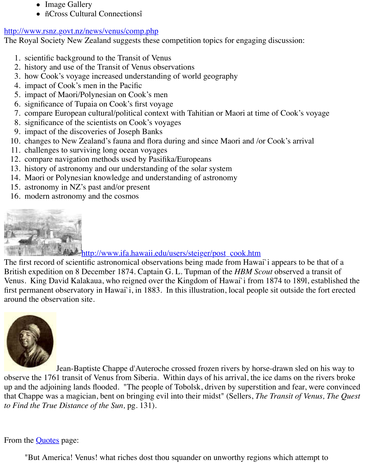- 2. history and use of the Transit of Venus observations
- 3. how Cook's voyage increased understanding of world geography
- 4. impact of Cook's men in the Pacific
- [5. impact of Maori/Polynesian on Cook's m](http://www.rsnz.govt.nz/news/venus/comp.php)en
- 6. significance of Tupaia on Cook's first voyage
- 7. compare European cultural/political context with Tahitian or Maori at time of Cook's vo
- 8. significance of the scientists on Cook's voyages
- 9. impact of the discoveries of Joseph Banks
- 10. changes to New Zealand's fauna and flora during and since Maori and /or Cook's arrival
- 11. challenges to surviving long ocean voyages
- 12. compare navigation methods used by Pasifika/Europeans
- 13. history of astronomy and our understanding of the solar system
- 14. Maori or Polynesian knowledge and understanding of astronomy
- 15. astronomy in NZ's past and/or present
- 16. modern astronomy and the cosmos



http://www.ifa.hawaii.edu/users/steiger/post\_cook.htm

The first record of scientific astronomical observations being made from Hawai`i appears to be British expedition on 8 December 1874. Captain G. L. Tupman of the *HBM Scout* observed a t [Venus. King David Kalakaua, who reigned over the Kingdom of Hawai`i from](http://www.ifa.hawaii.edu/users/steiger/post_cook.htm) 1874 to 1891, e first permanent observatory in Hawai`i, in 1883. In this illustration, local people sit outside the around the observation site.



Jean-Baptiste Chappe d'Auteroche crossed frozen rivers by horse-drawn sled on observe the 1761 transit of Venus from Siberia. Within days of his arrival, the ice dams on the [up and the adjoi](http://www.nhm.org/research/publications/Baja_Cal_Travel/baja46.html)ning lands flooded. "The people of Tobolsk, driven by superstition and fear, w that Chappe was a magician, bent on bringing evil into their midst" (Sellers, *The Transit of Ver to Find the True Distance of the Sun,* pg. 131).

From the **Quotes** page:

"But America! Venus! what riches dost thou squander on unworthy regions which attem